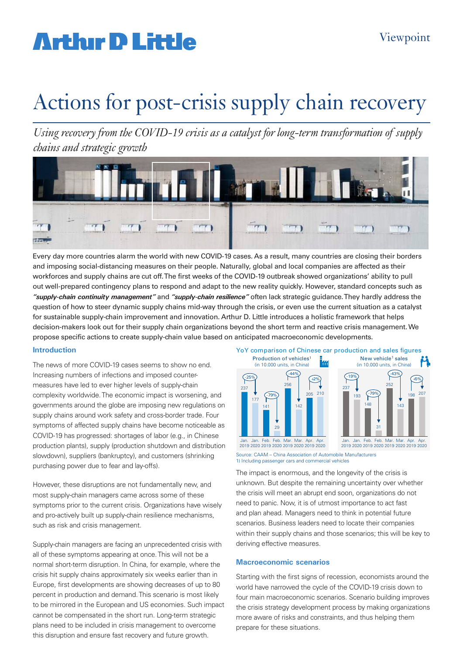# **Arthur D Little**

# Actions for post-crisis supply chain recovery

*Using recovery from the COVID-19 crisis as a catalyst for long-term transformation of supply chains and strategic growth* 



Every day more countries alarm the world with new COVID-19 cases. As a result, many countries are closing their borders and imposing social-distancing measures on their people. Naturally, global and local companies are affected as their workforces and supply chains are cut off. The first weeks of the COVID-19 outbreak showed organizations' ability to pull out well-prepared contingency plans to respond and adapt to the new reality quickly. However, standard concepts such as *"supply-chain continuity management"* and *"supply-chain resilience"* often lack strategic guidance. They hardly address the question of how to steer dynamic supply chains mid-way through the crisis, or even use the current situation as a catalyst for sustainable supply-chain improvement and innovation. Arthur D. Little introduces a holistic framework that helps decision-makers look out for their supply chain organizations beyond the short term and reactive crisis management. We propose specific actions to create supply-chain value based on anticipated macroeconomic developments.

#### **Introduction**

The news of more COVID-19 cases seems to show no end. Increasing numbers of infections and imposed countermeasures have led to ever higher levels of supply-chain complexity worldwide. The economic impact is worsening, and governments around the globe are imposing new regulations on supply chains around work safety and cross-border trade. Four symptoms of affected supply chains have become noticeable as COVID-19 has progressed: shortages of labor (e.g., in Chinese production plants), supply (production shutdown and distribution slowdown), suppliers (bankruptcy), and customers (shrinking purchasing power due to fear and lay-offs).

However, these disruptions are not fundamentally new, and most supply-chain managers came across some of these symptoms prior to the current crisis. Organizations have wisely and pro-actively built up supply-chain resilience mechanisms, such as risk and crisis management.

Supply-chain managers are facing an unprecedented crisis with all of these symptoms appearing at once. This will not be a normal short-term disruption. In China, for example, where the crisis hit supply chains approximately six weeks earlier than in Europe, first developments are showing decreases of up to 80 percent in production and demand. This scenario is most likely to be mirrored in the European and US economies. Such impact cannot be compensated in the short run. Long-term strategic plans need to be included in crisis management to overcome this disruption and ensure fast recovery and future growth.



Source: CAAM – China Association of Automobile Manufacturers 1) Including passenger cars and commercial vehicles

The impact is enormous, and the longevity of the crisis is unknown. But despite the remaining uncertainty over whether the crisis will meet an abrupt end soon, organizations do not need to panic. Now, it is of utmost importance to act fast and plan ahead. Managers need to think in potential future scenarios. Business leaders need to locate their companies within their supply chains and those scenarios; this will be key to deriving effective measures.

#### **Macroeconomic scenarios**

Starting with the first signs of recession, economists around the world have narrowed the cycle of the COVID-19 crisis down to four main macroeconomic scenarios. Scenario building improves the crisis strategy development process by making organizations more aware of risks and constraints, and thus helping them prepare for these situations.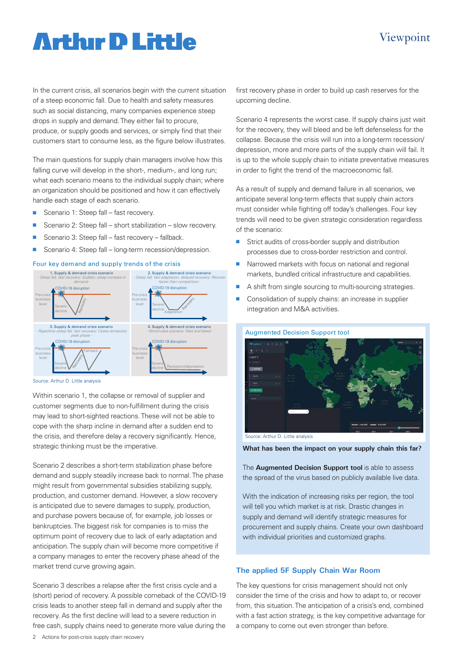### Viewpoint

## **Arthur D Little**

In the current crisis, all scenarios begin with the current situation of a steep economic fall. Due to health and safety measures such as social distancing, many companies experience steep drops in supply and demand. They either fail to procure, produce, or supply goods and services, or simply find that their customers start to consume less, as the figure below illustrates.

The main questions for supply chain managers involve how this falling curve will develop in the short-, medium-, and long run; what each scenario means to the individual supply chain; where an organization should be positioned and how it can effectively handle each stage of each scenario.

- Scenario 1: Steep fall fast recovery.
- Scenario 2: Steep fall short stabilization slow recovery.
- Scenario 3: Steep fall fast recovery fallback.
- Scenario 4: Steep fall long-term recession/depression.

#### Four key demand and supply trends of the crisis



Source: Arthur D. Little analysis

Within scenario 1, the collapse or removal of supplier and customer segments due to non-fulfillment during the crisis may lead to short-sighted reactions. These will not be able to cope with the sharp incline in demand after a sudden end to the crisis, and therefore delay a recovery significantly. Hence, strategic thinking must be the imperative.

Scenario 2 describes a short-term stabilization phase before demand and supply steadily increase back to normal. The phase might result from governmental subsidies stabilizing supply, production, and customer demand. However, a slow recovery is anticipated due to severe damages to supply, production, and purchase powers because of, for example, job losses or bankruptcies. The biggest risk for companies is to miss the optimum point of recovery due to lack of early adaptation and anticipation. The supply chain will become more competitive if a company manages to enter the recovery phase ahead of the market trend curve growing again.

Scenario 3 describes a relapse after the first crisis cycle and a (short) period of recovery. A possible comeback of the COVID-19 crisis leads to another steep fall in demand and supply after the recovery. As the first decline will lead to a severe reduction in free cash, supply chains need to generate more value during the

Scenario 4 represents the worst case. If supply chains just wait for the recovery, they will bleed and be left defenseless for the collapse. Because the crisis will run into a long-term recession/ depression, more and more parts of the supply chain will fail. It is up to the whole supply chain to initiate preventative measures in order to fight the trend of the macroeconomic fall.

As a result of supply and demand failure in all scenarios, we anticipate several long-term effects that supply chain actors must consider while fighting off today's challenges. Four key trends will need to be given strategic consideration regardless of the scenario:

- Strict audits of cross-border supply and distribution processes due to cross-border restriction and control.
- $\blacksquare$  Narrowed markets with focus on national and regional markets, bundled critical infrastructure and capabilities.
- $\blacksquare$  A shift from single sourcing to multi-sourcing strategies.
- Consolidation of supply chains: an increase in supplier integration and M&A activities.



**What has been the impact on your supply chain this far?** 

The **Augmented Decision Support tool** is able to assess the spread of the virus based on publicly available live data.

With the indication of increasing risks per region, the tool will tell you which market is at risk. Drastic changes in supply and demand will identify strategic measures for procurement and supply chains. Create your own dashboard with individual priorities and customized graphs.

#### **The applied 5F Supply Chain War Room**

The key questions for crisis management should not only consider the time of the crisis and how to adapt to, or recover from, this situation. The anticipation of a crisis's end, combined with a fast action strategy, is the key competitive advantage for a company to come out even stronger than before.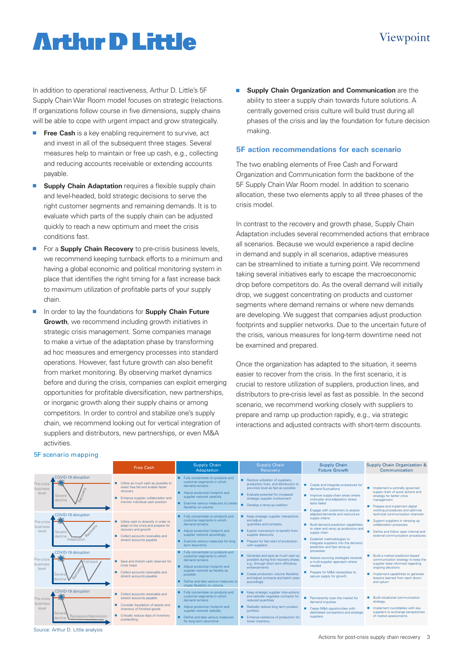## **Arthur D Little**

In addition to operational reactiveness, Arthur D. Little's 5F Supply Chain War Room model focuses on strategic (re)actions. If organizations follow course in five dimensions, supply chains will be able to cope with urgent impact and grow strategically.

- **Free Cash** is a key enabling requirement to survive, act and invest in all of the subsequent three stages. Several measures help to maintain or free up cash, e.g., collecting and reducing accounts receivable or extending accounts payable.
- **E** Supply Chain Adaptation requires a flexible supply chain and level-headed, bold strategic decisions to serve the right customer segments and remaining demands. It is to evaluate which parts of the supply chain can be adjusted quickly to reach a new optimum and meet the crisis conditions fast.
- **For a Supply Chain Recovery** to pre-crisis business levels, we recommend keeping turnback efforts to a minimum and having a global economic and political monitoring system in place that identifies the right timing for a fast increase back to maximum utilization of profitable parts of your supply chain.
- **n** In order to lay the foundations for **Supply Chain Future Growth**, we recommend including growth initiatives in strategic crisis management. Some companies manage to make a virtue of the adaptation phase by transforming ad hoc measures and emergency processes into standard operations. However, fast future growth can also benefit from market monitoring. By observing market dynamics before and during the crisis, companies can exploit emerging opportunities for profitable diversification, new partnerships, or inorganic growth along their supply chains or among competitors. In order to control and stabilize one's supply chain, we recommend looking out for vertical integration of suppliers and distributors, new partnerships, or even M&A activities.

**n** Supply Chain Organization and Communication are the ability to steer a supply chain towards future solutions. A centrally governed crisis culture will build trust during all phases of the crisis and lay the foundation for future decision making.

#### **5F action recommendations for each scenario**

The two enabling elements of Free Cash and Forward Organization and Communication form the backbone of the 5F Supply Chain War Room model. In addition to scenario allocation, these two elements apply to all three phases of the crisis model.

In contrast to the recovery and growth phase, Supply Chain Adaptation includes several recommended actions that embrace all scenarios. Because we would experience a rapid decline in demand and supply in all scenarios, adaptive measures can be streamlined to initiate a turning point. We recommend taking several initiatives early to escape the macroeconomic drop before competitors do. As the overall demand will initially drop, we suggest concentrating on products and customer segments where demand remains or where new demands are developing. We suggest that companies adjust production footprints and supplier networks. Due to the uncertain future of the crisis, various measures for long-term downtime need not be examined and prepared.

Once the organization has adapted to the situation, it seems easier to recover from the crisis. In the first scenario, it is crucial to restore utilization of suppliers, production lines, and distributors to pre-crisis level as fast as possible. In the second scenario, we recommend working closely with suppliers to prepare and ramp up production rapidly, e.g., via strategic interactions and adjusted contracts with short-term discounts.

#### 5F scenario mapping